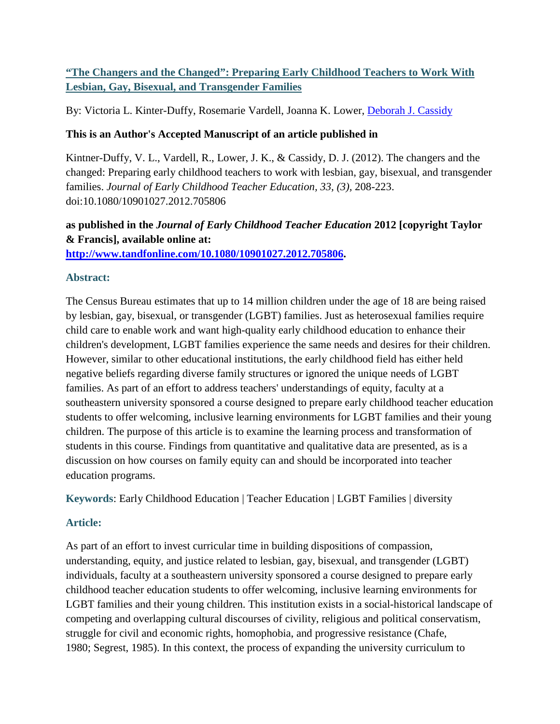# **"The Changers and the Changed": Preparing Early Childhood Teachers to Work With Lesbian, Gay, Bisexual, and Transgender Families**

By: Victoria L. Kinter-Duffy, Rosemarie Vardell, Joanna K. Lower, [Deborah J. Cassidy](https://libres.uncg.edu/ir/uncg/clist.aspx?id=1330)

# **This is an Author's Accepted Manuscript of an article published in**

Kintner-Duffy, V. L., Vardell, R., Lower, J. K., & Cassidy, D. J. (2012). The changers and the changed: Preparing early childhood teachers to work with lesbian, gay, bisexual, and transgender families. *Journal of Early Childhood Teacher Education, 33, (3),* 208-223. doi:10.1080/10901027.2012.705806

# **as published in the** *Journal of Early Childhood Teacher Education* **2012 [copyright Taylor & Francis], available online at:**

**[http://www.tandfonline.com/10.1080/10901027.2012.705806.](http://www.tandfonline.com/10.1080/10901027.2012.705806)**

# **Abstract:**

The Census Bureau estimates that up to 14 million children under the age of 18 are being raised by lesbian, gay, bisexual, or transgender (LGBT) families. Just as heterosexual families require child care to enable work and want high-quality early childhood education to enhance their children's development, LGBT families experience the same needs and desires for their children. However, similar to other educational institutions, the early childhood field has either held negative beliefs regarding diverse family structures or ignored the unique needs of LGBT families. As part of an effort to address teachers' understandings of equity, faculty at a southeastern university sponsored a course designed to prepare early childhood teacher education students to offer welcoming, inclusive learning environments for LGBT families and their young children. The purpose of this article is to examine the learning process and transformation of students in this course. Findings from quantitative and qualitative data are presented, as is a discussion on how courses on family equity can and should be incorporated into teacher education programs.

**Keywords**: Early Childhood Education | Teacher Education | LGBT Families | diversity

# **Article:**

As part of an effort to invest curricular time in building dispositions of compassion, understanding, equity, and justice related to lesbian, gay, bisexual, and transgender (LGBT) individuals, faculty at a southeastern university sponsored a course designed to prepare early childhood teacher education students to offer welcoming, inclusive learning environments for LGBT families and their young children. This institution exists in a social-historical landscape of competing and overlapping cultural discourses of civility, religious and political conservatism, struggle for civil and economic rights, homophobia, and progressive resistance (Chafe, 1980; Segrest, 1985). In this context, the process of expanding the university curriculum to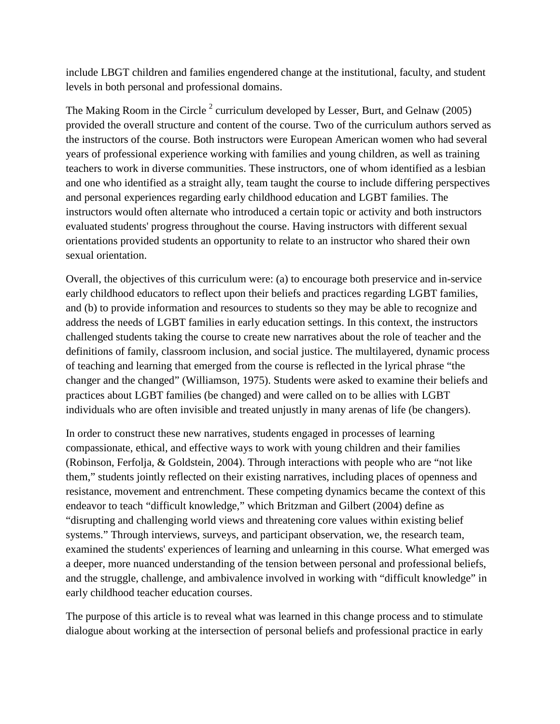include LBGT children and families engendered change at the institutional, faculty, and student levels in both personal and professional domains.

The Making Room in the Circle<sup>2</sup> curriculum developed by Lesser, Burt, and Gelnaw (2005) provided the overall structure and content of the course. Two of the curriculum authors served as the instructors of the course. Both instructors were European American women who had several years of professional experience working with families and young children, as well as training teachers to work in diverse communities. These instructors, one of whom identified as a lesbian and one who identified as a straight ally, team taught the course to include differing perspectives and personal experiences regarding early childhood education and LGBT families. The instructors would often alternate who introduced a certain topic or activity and both instructors evaluated students' progress throughout the course. Having instructors with different sexual orientations provided students an opportunity to relate to an instructor who shared their own sexual orientation.

Overall, the objectives of this curriculum were: (a) to encourage both preservice and in-service early childhood educators to reflect upon their beliefs and practices regarding LGBT families, and (b) to provide information and resources to students so they may be able to recognize and address the needs of LGBT families in early education settings. In this context, the instructors challenged students taking the course to create new narratives about the role of teacher and the definitions of family, classroom inclusion, and social justice. The multilayered, dynamic process of teaching and learning that emerged from the course is reflected in the lyrical phrase "the changer and the changed" (Williamson, 1975). Students were asked to examine their beliefs and practices about LGBT families (be changed) and were called on to be allies with LGBT individuals who are often invisible and treated unjustly in many arenas of life (be changers).

In order to construct these new narratives, students engaged in processes of learning compassionate, ethical, and effective ways to work with young children and their families (Robinson, Ferfolja, & Goldstein, 2004). Through interactions with people who are "not like them," students jointly reflected on their existing narratives, including places of openness and resistance, movement and entrenchment. These competing dynamics became the context of this endeavor to teach "difficult knowledge," which Britzman and Gilbert (2004) define as "disrupting and challenging world views and threatening core values within existing belief systems." Through interviews, surveys, and participant observation, we, the research team, examined the students' experiences of learning and unlearning in this course. What emerged was a deeper, more nuanced understanding of the tension between personal and professional beliefs, and the struggle, challenge, and ambivalence involved in working with "difficult knowledge" in early childhood teacher education courses.

The purpose of this article is to reveal what was learned in this change process and to stimulate dialogue about working at the intersection of personal beliefs and professional practice in early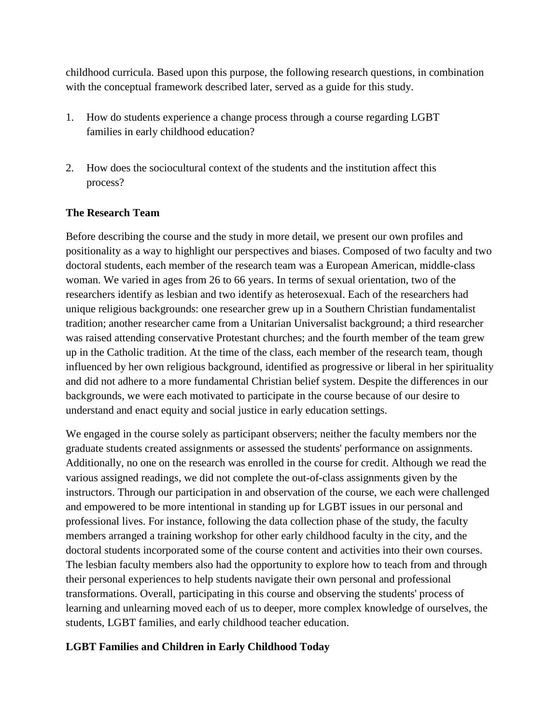childhood curricula. Based upon this purpose, the following research questions, in combination with the conceptual framework described later, served as a guide for this study.

- 1. How do students experience a change process through a course regarding LGBT families in early childhood education?
- 2. How does the sociocultural context of the students and the institution affect this process?

## **The Research Team**

Before describing the course and the study in more detail, we present our own profiles and positionality as a way to highlight our perspectives and biases. Composed of two faculty and two doctoral students, each member of the research team was a European American, middle-class woman. We varied in ages from 26 to 66 years. In terms of sexual orientation, two of the researchers identify as lesbian and two identify as heterosexual. Each of the researchers had unique religious backgrounds: one researcher grew up in a Southern Christian fundamentalist tradition; another researcher came from a Unitarian Universalist background; a third researcher was raised attending conservative Protestant churches; and the fourth member of the team grew up in the Catholic tradition. At the time of the class, each member of the research team, though influenced by her own religious background, identified as progressive or liberal in her spirituality and did not adhere to a more fundamental Christian belief system. Despite the differences in our backgrounds, we were each motivated to participate in the course because of our desire to understand and enact equity and social justice in early education settings.

We engaged in the course solely as participant observers; neither the faculty members nor the graduate students created assignments or assessed the students' performance on assignments. Additionally, no one on the research was enrolled in the course for credit. Although we read the various assigned readings, we did not complete the out-of-class assignments given by the instructors. Through our participation in and observation of the course, we each were challenged and empowered to be more intentional in standing up for LGBT issues in our personal and professional lives. For instance, following the data collection phase of the study, the faculty members arranged a training workshop for other early childhood faculty in the city, and the doctoral students incorporated some of the course content and activities into their own courses. The lesbian faculty members also had the opportunity to explore how to teach from and through their personal experiences to help students navigate their own personal and professional transformations. Overall, participating in this course and observing the students' process of learning and unlearning moved each of us to deeper, more complex knowledge of ourselves, the students, LGBT families, and early childhood teacher education.

## **LGBT Families and Children in Early Childhood Today**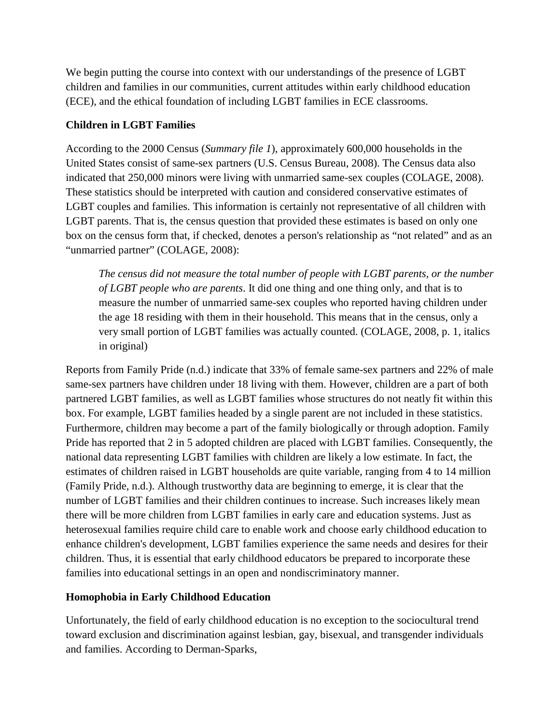We begin putting the course into context with our understandings of the presence of LGBT children and families in our communities, current attitudes within early childhood education (ECE), and the ethical foundation of including LGBT families in ECE classrooms.

## **Children in LGBT Families**

According to the 2000 Census (*Summary file 1*), approximately 600,000 households in the United States consist of same-sex partners (U.S. Census Bureau, 2008). The Census data also indicated that 250,000 minors were living with unmarried same-sex couples (COLAGE, 2008). These statistics should be interpreted with caution and considered conservative estimates of LGBT couples and families. This information is certainly not representative of all children with LGBT parents. That is, the census question that provided these estimates is based on only one box on the census form that, if checked, denotes a person's relationship as "not related" and as an "unmarried partner" (COLAGE, 2008):

*The census did not measure the total number of people with LGBT parents, or the number of LGBT people who are parents*. It did one thing and one thing only, and that is to measure the number of unmarried same-sex couples who reported having children under the age 18 residing with them in their household. This means that in the census, only a very small portion of LGBT families was actually counted. (COLAGE, 2008, p. 1, italics in original)

Reports from Family Pride (n.d.) indicate that 33% of female same-sex partners and 22% of male same-sex partners have children under 18 living with them. However, children are a part of both partnered LGBT families, as well as LGBT families whose structures do not neatly fit within this box. For example, LGBT families headed by a single parent are not included in these statistics. Furthermore, children may become a part of the family biologically or through adoption. Family Pride has reported that 2 in 5 adopted children are placed with LGBT families. Consequently, the national data representing LGBT families with children are likely a low estimate. In fact, the estimates of children raised in LGBT households are quite variable, ranging from 4 to 14 million (Family Pride, n.d.). Although trustworthy data are beginning to emerge, it is clear that the number of LGBT families and their children continues to increase. Such increases likely mean there will be more children from LGBT families in early care and education systems. Just as heterosexual families require child care to enable work and choose early childhood education to enhance children's development, LGBT families experience the same needs and desires for their children. Thus, it is essential that early childhood educators be prepared to incorporate these families into educational settings in an open and nondiscriminatory manner.

# **Homophobia in Early Childhood Education**

Unfortunately, the field of early childhood education is no exception to the sociocultural trend toward exclusion and discrimination against lesbian, gay, bisexual, and transgender individuals and families. According to Derman-Sparks,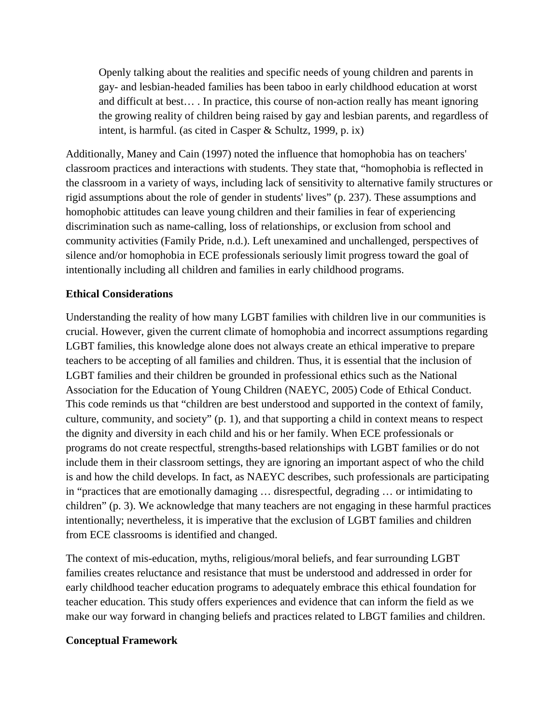Openly talking about the realities and specific needs of young children and parents in gay- and lesbian-headed families has been taboo in early childhood education at worst and difficult at best… . In practice, this course of non-action really has meant ignoring the growing reality of children being raised by gay and lesbian parents, and regardless of intent, is harmful. (as cited in Casper & Schultz, 1999, p. ix)

Additionally, Maney and Cain (1997) noted the influence that homophobia has on teachers' classroom practices and interactions with students. They state that, "homophobia is reflected in the classroom in a variety of ways, including lack of sensitivity to alternative family structures or rigid assumptions about the role of gender in students' lives" (p. 237). These assumptions and homophobic attitudes can leave young children and their families in fear of experiencing discrimination such as name-calling, loss of relationships, or exclusion from school and community activities (Family Pride, n.d.). Left unexamined and unchallenged, perspectives of silence and/or homophobia in ECE professionals seriously limit progress toward the goal of intentionally including all children and families in early childhood programs.

## **Ethical Considerations**

Understanding the reality of how many LGBT families with children live in our communities is crucial. However, given the current climate of homophobia and incorrect assumptions regarding LGBT families, this knowledge alone does not always create an ethical imperative to prepare teachers to be accepting of all families and children. Thus, it is essential that the inclusion of LGBT families and their children be grounded in professional ethics such as the National Association for the Education of Young Children (NAEYC, 2005) Code of Ethical Conduct. This code reminds us that "children are best understood and supported in the context of family, culture, community, and society" (p. 1), and that supporting a child in context means to respect the dignity and diversity in each child and his or her family. When ECE professionals or programs do not create respectful, strengths-based relationships with LGBT families or do not include them in their classroom settings, they are ignoring an important aspect of who the child is and how the child develops. In fact, as NAEYC describes, such professionals are participating in "practices that are emotionally damaging … disrespectful, degrading … or intimidating to children" (p. 3). We acknowledge that many teachers are not engaging in these harmful practices intentionally; nevertheless, it is imperative that the exclusion of LGBT families and children from ECE classrooms is identified and changed.

The context of mis-education, myths, religious/moral beliefs, and fear surrounding LGBT families creates reluctance and resistance that must be understood and addressed in order for early childhood teacher education programs to adequately embrace this ethical foundation for teacher education. This study offers experiences and evidence that can inform the field as we make our way forward in changing beliefs and practices related to LBGT families and children.

## **Conceptual Framework**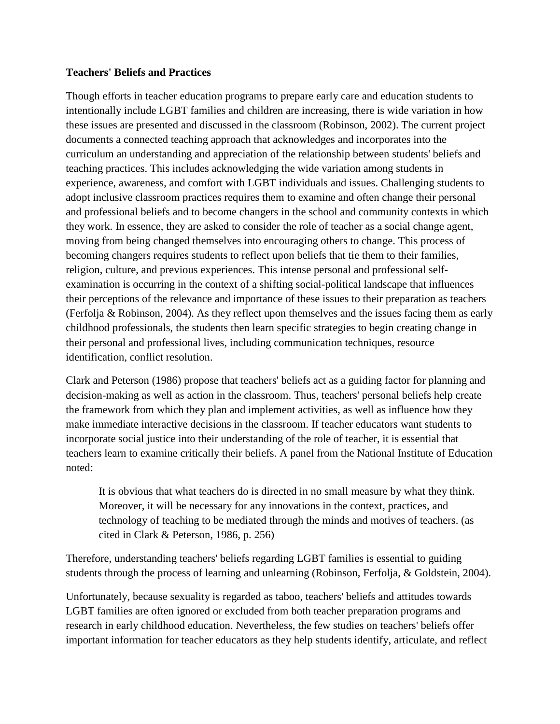#### **Teachers' Beliefs and Practices**

Though efforts in teacher education programs to prepare early care and education students to intentionally include LGBT families and children are increasing, there is wide variation in how these issues are presented and discussed in the classroom (Robinson, 2002). The current project documents a connected teaching approach that acknowledges and incorporates into the curriculum an understanding and appreciation of the relationship between students' beliefs and teaching practices. This includes acknowledging the wide variation among students in experience, awareness, and comfort with LGBT individuals and issues. Challenging students to adopt inclusive classroom practices requires them to examine and often change their personal and professional beliefs and to become changers in the school and community contexts in which they work. In essence, they are asked to consider the role of teacher as a social change agent, moving from being changed themselves into encouraging others to change. This process of becoming changers requires students to reflect upon beliefs that tie them to their families, religion, culture, and previous experiences. This intense personal and professional selfexamination is occurring in the context of a shifting social-political landscape that influences their perceptions of the relevance and importance of these issues to their preparation as teachers (Ferfolja & Robinson, 2004). As they reflect upon themselves and the issues facing them as early childhood professionals, the students then learn specific strategies to begin creating change in their personal and professional lives, including communication techniques, resource identification, conflict resolution.

Clark and Peterson (1986) propose that teachers' beliefs act as a guiding factor for planning and decision-making as well as action in the classroom. Thus, teachers' personal beliefs help create the framework from which they plan and implement activities, as well as influence how they make immediate interactive decisions in the classroom. If teacher educators want students to incorporate social justice into their understanding of the role of teacher, it is essential that teachers learn to examine critically their beliefs. A panel from the National Institute of Education noted:

It is obvious that what teachers do is directed in no small measure by what they think. Moreover, it will be necessary for any innovations in the context, practices, and technology of teaching to be mediated through the minds and motives of teachers. (as cited in Clark & Peterson, 1986, p. 256)

Therefore, understanding teachers' beliefs regarding LGBT families is essential to guiding students through the process of learning and unlearning (Robinson, Ferfolja, & Goldstein, 2004).

Unfortunately, because sexuality is regarded as taboo, teachers' beliefs and attitudes towards LGBT families are often ignored or excluded from both teacher preparation programs and research in early childhood education. Nevertheless, the few studies on teachers' beliefs offer important information for teacher educators as they help students identify, articulate, and reflect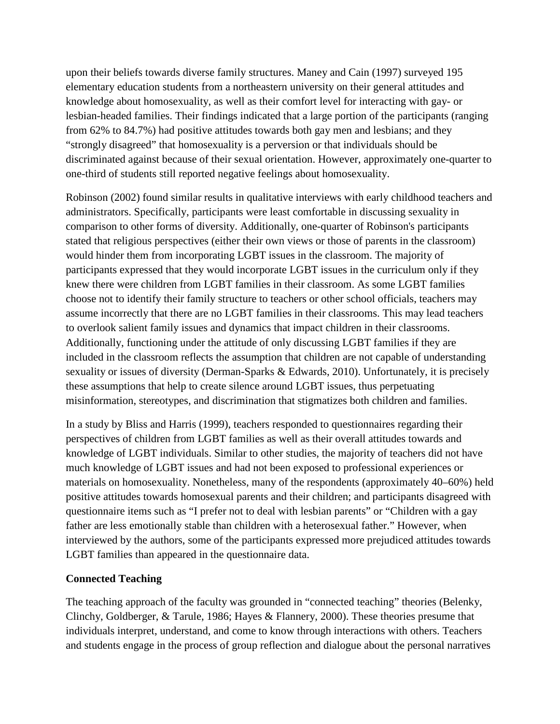upon their beliefs towards diverse family structures. Maney and Cain (1997) surveyed 195 elementary education students from a northeastern university on their general attitudes and knowledge about homosexuality, as well as their comfort level for interacting with gay- or lesbian-headed families. Their findings indicated that a large portion of the participants (ranging from 62% to 84.7%) had positive attitudes towards both gay men and lesbians; and they "strongly disagreed" that homosexuality is a perversion or that individuals should be discriminated against because of their sexual orientation. However, approximately one-quarter to one-third of students still reported negative feelings about homosexuality.

Robinson (2002) found similar results in qualitative interviews with early childhood teachers and administrators. Specifically, participants were least comfortable in discussing sexuality in comparison to other forms of diversity. Additionally, one-quarter of Robinson's participants stated that religious perspectives (either their own views or those of parents in the classroom) would hinder them from incorporating LGBT issues in the classroom. The majority of participants expressed that they would incorporate LGBT issues in the curriculum only if they knew there were children from LGBT families in their classroom. As some LGBT families choose not to identify their family structure to teachers or other school officials, teachers may assume incorrectly that there are no LGBT families in their classrooms. This may lead teachers to overlook salient family issues and dynamics that impact children in their classrooms. Additionally, functioning under the attitude of only discussing LGBT families if they are included in the classroom reflects the assumption that children are not capable of understanding sexuality or issues of diversity (Derman-Sparks & Edwards, 2010). Unfortunately, it is precisely these assumptions that help to create silence around LGBT issues, thus perpetuating misinformation, stereotypes, and discrimination that stigmatizes both children and families.

In a study by Bliss and Harris (1999), teachers responded to questionnaires regarding their perspectives of children from LGBT families as well as their overall attitudes towards and knowledge of LGBT individuals. Similar to other studies, the majority of teachers did not have much knowledge of LGBT issues and had not been exposed to professional experiences or materials on homosexuality. Nonetheless, many of the respondents (approximately 40–60%) held positive attitudes towards homosexual parents and their children; and participants disagreed with questionnaire items such as "I prefer not to deal with lesbian parents" or "Children with a gay father are less emotionally stable than children with a heterosexual father." However, when interviewed by the authors, some of the participants expressed more prejudiced attitudes towards LGBT families than appeared in the questionnaire data.

## **Connected Teaching**

The teaching approach of the faculty was grounded in "connected teaching" theories (Belenky, Clinchy, Goldberger, & Tarule, 1986; Hayes & Flannery, 2000). These theories presume that individuals interpret, understand, and come to know through interactions with others. Teachers and students engage in the process of group reflection and dialogue about the personal narratives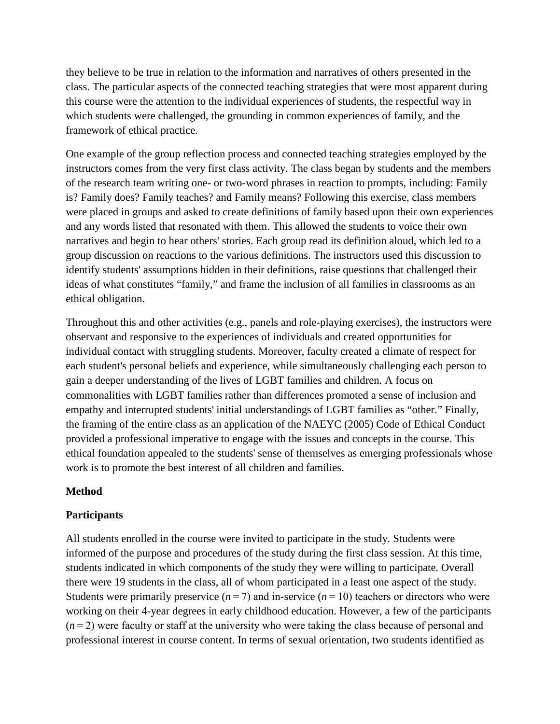they believe to be true in relation to the information and narratives of others presented in the class. The particular aspects of the connected teaching strategies that were most apparent during this course were the attention to the individual experiences of students, the respectful way in which students were challenged, the grounding in common experiences of family, and the framework of ethical practice.

One example of the group reflection process and connected teaching strategies employed by the instructors comes from the very first class activity. The class began by students and the members of the research team writing one- or two-word phrases in reaction to prompts, including: Family is? Family does? Family teaches? and Family means? Following this exercise, class members were placed in groups and asked to create definitions of family based upon their own experiences and any words listed that resonated with them. This allowed the students to voice their own narratives and begin to hear others' stories. Each group read its definition aloud, which led to a group discussion on reactions to the various definitions. The instructors used this discussion to identify students' assumptions hidden in their definitions, raise questions that challenged their ideas of what constitutes "family," and frame the inclusion of all families in classrooms as an ethical obligation.

Throughout this and other activities (e.g., panels and role-playing exercises), the instructors were observant and responsive to the experiences of individuals and created opportunities for individual contact with struggling students. Moreover, faculty created a climate of respect for each student's personal beliefs and experience, while simultaneously challenging each person to gain a deeper understanding of the lives of LGBT families and children. A focus on commonalities with LGBT families rather than differences promoted a sense of inclusion and empathy and interrupted students' initial understandings of LGBT families as "other." Finally, the framing of the entire class as an application of the NAEYC (2005) Code of Ethical Conduct provided a professional imperative to engage with the issues and concepts in the course. This ethical foundation appealed to the students' sense of themselves as emerging professionals whose work is to promote the best interest of all children and families.

## **Method**

## **Participants**

All students enrolled in the course were invited to participate in the study. Students were informed of the purpose and procedures of the study during the first class session. At this time, students indicated in which components of the study they were willing to participate. Overall there were 19 students in the class, all of whom participated in a least one aspect of the study. Students were primarily preservice  $(n=7)$  and in-service  $(n=10)$  teachers or directors who were working on their 4-year degrees in early childhood education. However, a few of the participants  $(n=2)$  were faculty or staff at the university who were taking the class because of personal and professional interest in course content. In terms of sexual orientation, two students identified as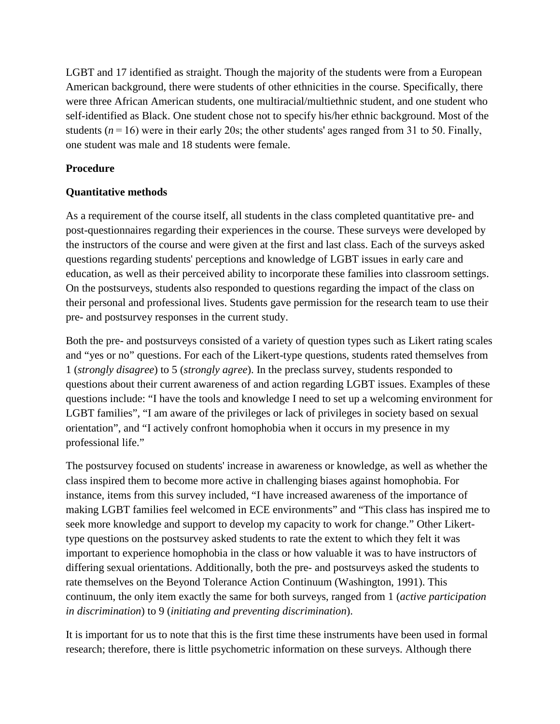LGBT and 17 identified as straight. Though the majority of the students were from a European American background, there were students of other ethnicities in the course. Specifically, there were three African American students, one multiracial/multiethnic student, and one student who self-identified as Black. One student chose not to specify his/her ethnic background. Most of the students  $(n = 16)$  were in their early 20s; the other students' ages ranged from 31 to 50. Finally, one student was male and 18 students were female.

# **Procedure**

## **Quantitative methods**

As a requirement of the course itself, all students in the class completed quantitative pre- and post-questionnaires regarding their experiences in the course. These surveys were developed by the instructors of the course and were given at the first and last class. Each of the surveys asked questions regarding students' perceptions and knowledge of LGBT issues in early care and education, as well as their perceived ability to incorporate these families into classroom settings. On the postsurveys, students also responded to questions regarding the impact of the class on their personal and professional lives. Students gave permission for the research team to use their pre- and postsurvey responses in the current study.

Both the pre- and postsurveys consisted of a variety of question types such as Likert rating scales and "yes or no" questions. For each of the Likert-type questions, students rated themselves from 1 (*strongly disagree*) to 5 (*strongly agree*). In the preclass survey, students responded to questions about their current awareness of and action regarding LGBT issues. Examples of these questions include: "I have the tools and knowledge I need to set up a welcoming environment for LGBT families", "I am aware of the privileges or lack of privileges in society based on sexual orientation", and "I actively confront homophobia when it occurs in my presence in my professional life."

The postsurvey focused on students' increase in awareness or knowledge, as well as whether the class inspired them to become more active in challenging biases against homophobia. For instance, items from this survey included, "I have increased awareness of the importance of making LGBT families feel welcomed in ECE environments" and "This class has inspired me to seek more knowledge and support to develop my capacity to work for change." Other Likerttype questions on the postsurvey asked students to rate the extent to which they felt it was important to experience homophobia in the class or how valuable it was to have instructors of differing sexual orientations. Additionally, both the pre- and postsurveys asked the students to rate themselves on the Beyond Tolerance Action Continuum (Washington, 1991). This continuum, the only item exactly the same for both surveys, ranged from 1 (*active participation in discrimination*) to 9 (*initiating and preventing discrimination*).

It is important for us to note that this is the first time these instruments have been used in formal research; therefore, there is little psychometric information on these surveys. Although there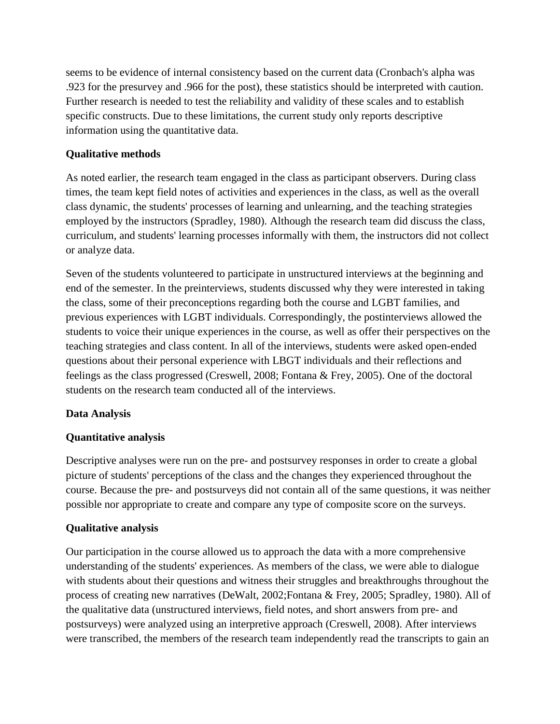seems to be evidence of internal consistency based on the current data (Cronbach's alpha was .923 for the presurvey and .966 for the post), these statistics should be interpreted with caution. Further research is needed to test the reliability and validity of these scales and to establish specific constructs. Due to these limitations, the current study only reports descriptive information using the quantitative data.

# **Qualitative methods**

As noted earlier, the research team engaged in the class as participant observers. During class times, the team kept field notes of activities and experiences in the class, as well as the overall class dynamic, the students' processes of learning and unlearning, and the teaching strategies employed by the instructors (Spradley, 1980). Although the research team did discuss the class, curriculum, and students' learning processes informally with them, the instructors did not collect or analyze data.

Seven of the students volunteered to participate in unstructured interviews at the beginning and end of the semester. In the preinterviews, students discussed why they were interested in taking the class, some of their preconceptions regarding both the course and LGBT families, and previous experiences with LGBT individuals. Correspondingly, the postinterviews allowed the students to voice their unique experiences in the course, as well as offer their perspectives on the teaching strategies and class content. In all of the interviews, students were asked open-ended questions about their personal experience with LBGT individuals and their reflections and feelings as the class progressed (Creswell, 2008; Fontana & Frey, 2005). One of the doctoral students on the research team conducted all of the interviews.

## **Data Analysis**

## **Quantitative analysis**

Descriptive analyses were run on the pre- and postsurvey responses in order to create a global picture of students' perceptions of the class and the changes they experienced throughout the course. Because the pre- and postsurveys did not contain all of the same questions, it was neither possible nor appropriate to create and compare any type of composite score on the surveys.

## **Qualitative analysis**

Our participation in the course allowed us to approach the data with a more comprehensive understanding of the students' experiences. As members of the class, we were able to dialogue with students about their questions and witness their struggles and breakthroughs throughout the process of creating new narratives (DeWalt, 2002;Fontana & Frey, 2005; Spradley, 1980). All of the qualitative data (unstructured interviews, field notes, and short answers from pre- and postsurveys) were analyzed using an interpretive approach (Creswell, 2008). After interviews were transcribed, the members of the research team independently read the transcripts to gain an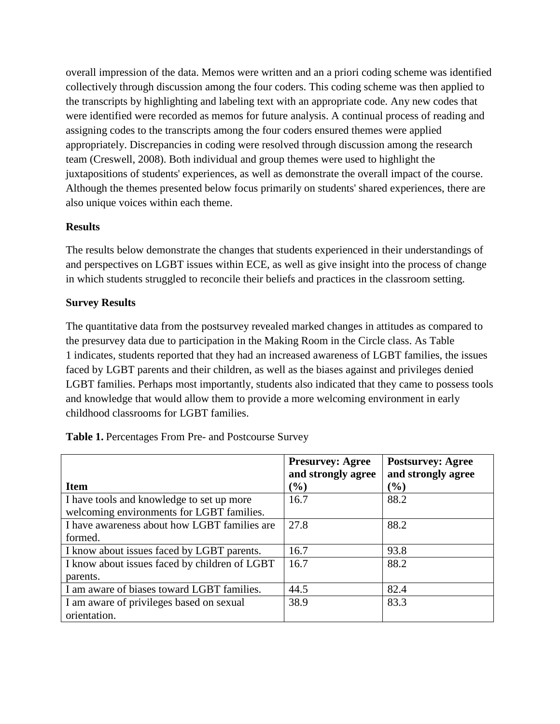overall impression of the data. Memos were written and an a priori coding scheme was identified collectively through discussion among the four coders. This coding scheme was then applied to the transcripts by highlighting and labeling text with an appropriate code. Any new codes that were identified were recorded as memos for future analysis. A continual process of reading and assigning codes to the transcripts among the four coders ensured themes were applied appropriately. Discrepancies in coding were resolved through discussion among the research team (Creswell, 2008). Both individual and group themes were used to highlight the juxtapositions of students' experiences, as well as demonstrate the overall impact of the course. Although the themes presented below focus primarily on students' shared experiences, there are also unique voices within each theme.

## **Results**

The results below demonstrate the changes that students experienced in their understandings of and perspectives on LGBT issues within ECE, as well as give insight into the process of change in which students struggled to reconcile their beliefs and practices in the classroom setting.

# **Survey Results**

The quantitative data from the postsurvey revealed marked changes in attitudes as compared to the presurvey data due to participation in the Making Room in the Circle class. As Table 1 indicates, students reported that they had an increased awareness of LGBT families, the issues faced by LGBT parents and their children, as well as the biases against and privileges denied LGBT families. Perhaps most importantly, students also indicated that they came to possess tools and knowledge that would allow them to provide a more welcoming environment in early childhood classrooms for LGBT families.

|                                               | <b>Presurvey: Agree</b><br>and strongly agree | <b>Postsurvey: Agree</b><br>and strongly agree |
|-----------------------------------------------|-----------------------------------------------|------------------------------------------------|
| <b>Item</b>                                   | $\left( \frac{0}{0} \right)$                  | $(\%)$                                         |
| I have tools and knowledge to set up more     | 16.7                                          | 88.2                                           |
| welcoming environments for LGBT families.     |                                               |                                                |
| I have awareness about how LGBT families are  | 27.8                                          | 88.2                                           |
| formed.                                       |                                               |                                                |
| I know about issues faced by LGBT parents.    | 16.7                                          | 93.8                                           |
| I know about issues faced by children of LGBT | 16.7                                          | 88.2                                           |
| parents.                                      |                                               |                                                |
| I am aware of biases toward LGBT families.    | 44.5                                          | 82.4                                           |
| I am aware of privileges based on sexual      | 38.9                                          | 83.3                                           |
| orientation.                                  |                                               |                                                |

## **Table 1.** Percentages From Pre- and Postcourse Survey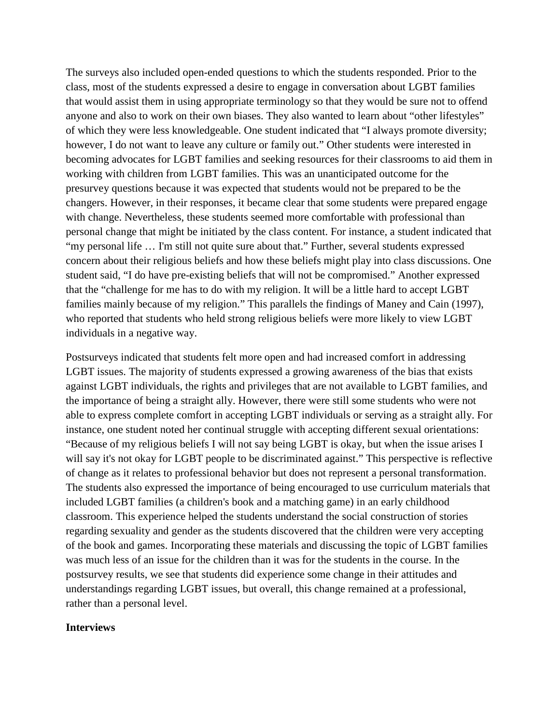The surveys also included open-ended questions to which the students responded. Prior to the class, most of the students expressed a desire to engage in conversation about LGBT families that would assist them in using appropriate terminology so that they would be sure not to offend anyone and also to work on their own biases. They also wanted to learn about "other lifestyles" of which they were less knowledgeable. One student indicated that "I always promote diversity; however, I do not want to leave any culture or family out." Other students were interested in becoming advocates for LGBT families and seeking resources for their classrooms to aid them in working with children from LGBT families. This was an unanticipated outcome for the presurvey questions because it was expected that students would not be prepared to be the changers. However, in their responses, it became clear that some students were prepared engage with change. Nevertheless, these students seemed more comfortable with professional than personal change that might be initiated by the class content. For instance, a student indicated that "my personal life … I'm still not quite sure about that." Further, several students expressed concern about their religious beliefs and how these beliefs might play into class discussions. One student said, "I do have pre-existing beliefs that will not be compromised." Another expressed that the "challenge for me has to do with my religion. It will be a little hard to accept LGBT families mainly because of my religion." This parallels the findings of Maney and Cain (1997), who reported that students who held strong religious beliefs were more likely to view LGBT individuals in a negative way.

Postsurveys indicated that students felt more open and had increased comfort in addressing LGBT issues. The majority of students expressed a growing awareness of the bias that exists against LGBT individuals, the rights and privileges that are not available to LGBT families, and the importance of being a straight ally. However, there were still some students who were not able to express complete comfort in accepting LGBT individuals or serving as a straight ally. For instance, one student noted her continual struggle with accepting different sexual orientations: "Because of my religious beliefs I will not say being LGBT is okay, but when the issue arises I will say it's not okay for LGBT people to be discriminated against." This perspective is reflective of change as it relates to professional behavior but does not represent a personal transformation. The students also expressed the importance of being encouraged to use curriculum materials that included LGBT families (a children's book and a matching game) in an early childhood classroom. This experience helped the students understand the social construction of stories regarding sexuality and gender as the students discovered that the children were very accepting of the book and games. Incorporating these materials and discussing the topic of LGBT families was much less of an issue for the children than it was for the students in the course. In the postsurvey results, we see that students did experience some change in their attitudes and understandings regarding LGBT issues, but overall, this change remained at a professional, rather than a personal level.

#### **Interviews**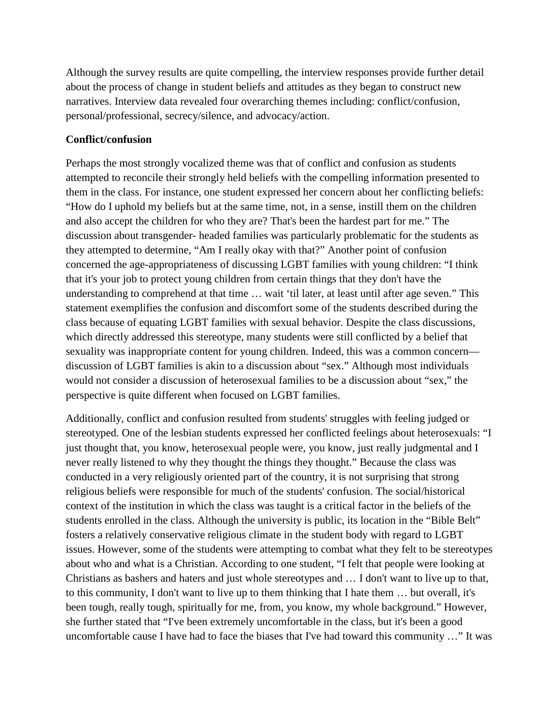Although the survey results are quite compelling, the interview responses provide further detail about the process of change in student beliefs and attitudes as they began to construct new narratives. Interview data revealed four overarching themes including: conflict/confusion, personal/professional, secrecy/silence, and advocacy/action.

#### **Conflict/confusion**

Perhaps the most strongly vocalized theme was that of conflict and confusion as students attempted to reconcile their strongly held beliefs with the compelling information presented to them in the class. For instance, one student expressed her concern about her conflicting beliefs: "How do I uphold my beliefs but at the same time, not, in a sense, instill them on the children and also accept the children for who they are? That's been the hardest part for me." The discussion about transgender- headed families was particularly problematic for the students as they attempted to determine, "Am I really okay with that?" Another point of confusion concerned the age-appropriateness of discussing LGBT families with young children: "I think that it's your job to protect young children from certain things that they don't have the understanding to comprehend at that time … wait 'til later, at least until after age seven." This statement exemplifies the confusion and discomfort some of the students described during the class because of equating LGBT families with sexual behavior. Despite the class discussions, which directly addressed this stereotype, many students were still conflicted by a belief that sexuality was inappropriate content for young children. Indeed, this was a common concern discussion of LGBT families is akin to a discussion about "sex." Although most individuals would not consider a discussion of heterosexual families to be a discussion about "sex," the perspective is quite different when focused on LGBT families.

Additionally, conflict and confusion resulted from students' struggles with feeling judged or stereotyped. One of the lesbian students expressed her conflicted feelings about heterosexuals: "I just thought that, you know, heterosexual people were, you know, just really judgmental and I never really listened to why they thought the things they thought." Because the class was conducted in a very religiously oriented part of the country, it is not surprising that strong religious beliefs were responsible for much of the students' confusion. The social/historical context of the institution in which the class was taught is a critical factor in the beliefs of the students enrolled in the class. Although the university is public, its location in the "Bible Belt" fosters a relatively conservative religious climate in the student body with regard to LGBT issues. However, some of the students were attempting to combat what they felt to be stereotypes about who and what is a Christian. According to one student, "I felt that people were looking at Christians as bashers and haters and just whole stereotypes and … I don't want to live up to that, to this community, I don't want to live up to them thinking that I hate them … but overall, it's been tough, really tough, spiritually for me, from, you know, my whole background." However, she further stated that "I've been extremely uncomfortable in the class, but it's been a good uncomfortable cause I have had to face the biases that I've had toward this community …" It was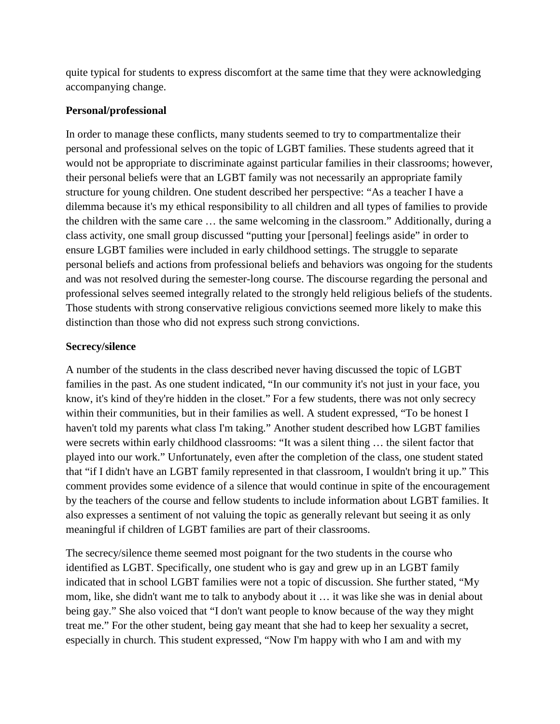quite typical for students to express discomfort at the same time that they were acknowledging accompanying change.

#### **Personal/professional**

In order to manage these conflicts, many students seemed to try to compartmentalize their personal and professional selves on the topic of LGBT families. These students agreed that it would not be appropriate to discriminate against particular families in their classrooms; however, their personal beliefs were that an LGBT family was not necessarily an appropriate family structure for young children. One student described her perspective: "As a teacher I have a dilemma because it's my ethical responsibility to all children and all types of families to provide the children with the same care … the same welcoming in the classroom." Additionally, during a class activity, one small group discussed "putting your [personal] feelings aside" in order to ensure LGBT families were included in early childhood settings. The struggle to separate personal beliefs and actions from professional beliefs and behaviors was ongoing for the students and was not resolved during the semester-long course. The discourse regarding the personal and professional selves seemed integrally related to the strongly held religious beliefs of the students. Those students with strong conservative religious convictions seemed more likely to make this distinction than those who did not express such strong convictions.

## **Secrecy/silence**

A number of the students in the class described never having discussed the topic of LGBT families in the past. As one student indicated, "In our community it's not just in your face, you know, it's kind of they're hidden in the closet." For a few students, there was not only secrecy within their communities, but in their families as well. A student expressed, "To be honest I haven't told my parents what class I'm taking." Another student described how LGBT families were secrets within early childhood classrooms: "It was a silent thing … the silent factor that played into our work." Unfortunately, even after the completion of the class, one student stated that "if I didn't have an LGBT family represented in that classroom, I wouldn't bring it up." This comment provides some evidence of a silence that would continue in spite of the encouragement by the teachers of the course and fellow students to include information about LGBT families. It also expresses a sentiment of not valuing the topic as generally relevant but seeing it as only meaningful if children of LGBT families are part of their classrooms.

The secrecy/silence theme seemed most poignant for the two students in the course who identified as LGBT. Specifically, one student who is gay and grew up in an LGBT family indicated that in school LGBT families were not a topic of discussion. She further stated, "My mom, like, she didn't want me to talk to anybody about it … it was like she was in denial about being gay." She also voiced that "I don't want people to know because of the way they might treat me." For the other student, being gay meant that she had to keep her sexuality a secret, especially in church. This student expressed, "Now I'm happy with who I am and with my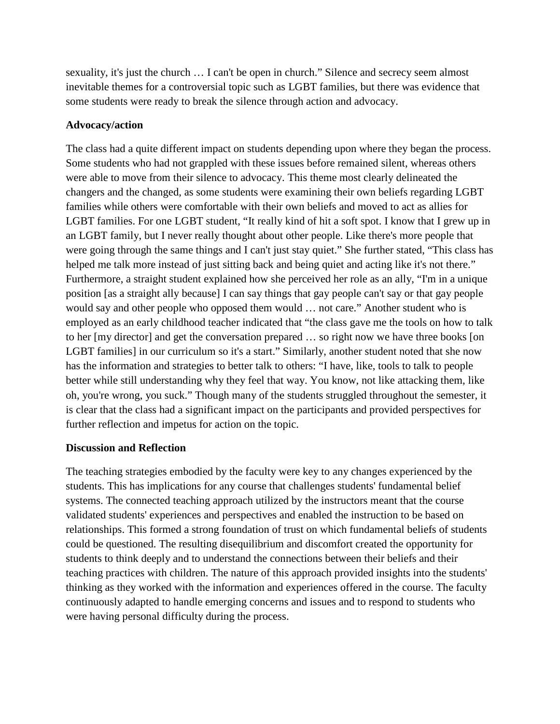sexuality, it's just the church … I can't be open in church." Silence and secrecy seem almost inevitable themes for a controversial topic such as LGBT families, but there was evidence that some students were ready to break the silence through action and advocacy.

#### **Advocacy/action**

The class had a quite different impact on students depending upon where they began the process. Some students who had not grappled with these issues before remained silent, whereas others were able to move from their silence to advocacy. This theme most clearly delineated the changers and the changed, as some students were examining their own beliefs regarding LGBT families while others were comfortable with their own beliefs and moved to act as allies for LGBT families. For one LGBT student, "It really kind of hit a soft spot. I know that I grew up in an LGBT family, but I never really thought about other people. Like there's more people that were going through the same things and I can't just stay quiet." She further stated, "This class has helped me talk more instead of just sitting back and being quiet and acting like it's not there." Furthermore, a straight student explained how she perceived her role as an ally, "I'm in a unique position [as a straight ally because] I can say things that gay people can't say or that gay people would say and other people who opposed them would … not care." Another student who is employed as an early childhood teacher indicated that "the class gave me the tools on how to talk to her [my director] and get the conversation prepared … so right now we have three books [on LGBT families] in our curriculum so it's a start." Similarly, another student noted that she now has the information and strategies to better talk to others: "I have, like, tools to talk to people better while still understanding why they feel that way. You know, not like attacking them, like oh, you're wrong, you suck." Though many of the students struggled throughout the semester, it is clear that the class had a significant impact on the participants and provided perspectives for further reflection and impetus for action on the topic.

#### **Discussion and Reflection**

The teaching strategies embodied by the faculty were key to any changes experienced by the students. This has implications for any course that challenges students' fundamental belief systems. The connected teaching approach utilized by the instructors meant that the course validated students' experiences and perspectives and enabled the instruction to be based on relationships. This formed a strong foundation of trust on which fundamental beliefs of students could be questioned. The resulting disequilibrium and discomfort created the opportunity for students to think deeply and to understand the connections between their beliefs and their teaching practices with children. The nature of this approach provided insights into the students' thinking as they worked with the information and experiences offered in the course. The faculty continuously adapted to handle emerging concerns and issues and to respond to students who were having personal difficulty during the process.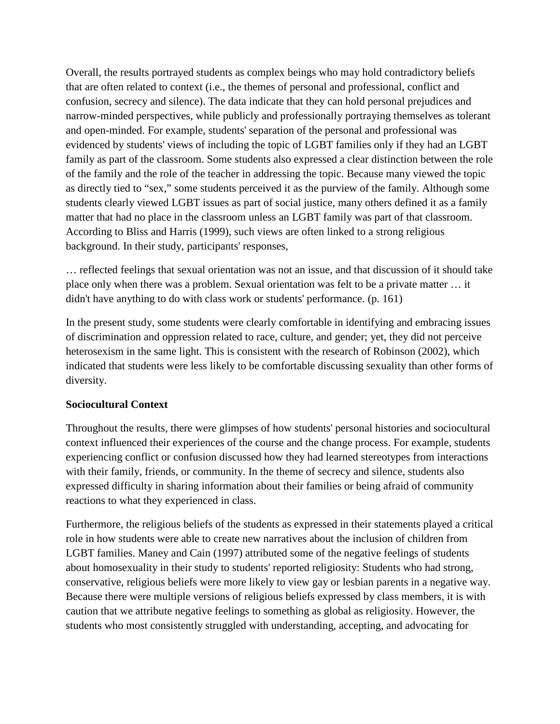Overall, the results portrayed students as complex beings who may hold contradictory beliefs that are often related to context (i.e., the themes of personal and professional, conflict and confusion, secrecy and silence). The data indicate that they can hold personal prejudices and narrow-minded perspectives, while publicly and professionally portraying themselves as tolerant and open-minded. For example, students' separation of the personal and professional was evidenced by students' views of including the topic of LGBT families only if they had an LGBT family as part of the classroom. Some students also expressed a clear distinction between the role of the family and the role of the teacher in addressing the topic. Because many viewed the topic as directly tied to "sex," some students perceived it as the purview of the family. Although some students clearly viewed LGBT issues as part of social justice, many others defined it as a family matter that had no place in the classroom unless an LGBT family was part of that classroom. According to Bliss and Harris (1999), such views are often linked to a strong religious background. In their study, participants' responses,

… reflected feelings that sexual orientation was not an issue, and that discussion of it should take place only when there was a problem. Sexual orientation was felt to be a private matter … it didn't have anything to do with class work or students' performance. (p. 161)

In the present study, some students were clearly comfortable in identifying and embracing issues of discrimination and oppression related to race, culture, and gender; yet, they did not perceive heterosexism in the same light. This is consistent with the research of Robinson (2002), which indicated that students were less likely to be comfortable discussing sexuality than other forms of diversity.

## **Sociocultural Context**

Throughout the results, there were glimpses of how students' personal histories and sociocultural context influenced their experiences of the course and the change process. For example, students experiencing conflict or confusion discussed how they had learned stereotypes from interactions with their family, friends, or community. In the theme of secrecy and silence, students also expressed difficulty in sharing information about their families or being afraid of community reactions to what they experienced in class.

Furthermore, the religious beliefs of the students as expressed in their statements played a critical role in how students were able to create new narratives about the inclusion of children from LGBT families. Maney and Cain (1997) attributed some of the negative feelings of students about homosexuality in their study to students' reported religiosity: Students who had strong, conservative, religious beliefs were more likely to view gay or lesbian parents in a negative way. Because there were multiple versions of religious beliefs expressed by class members, it is with caution that we attribute negative feelings to something as global as religiosity. However, the students who most consistently struggled with understanding, accepting, and advocating for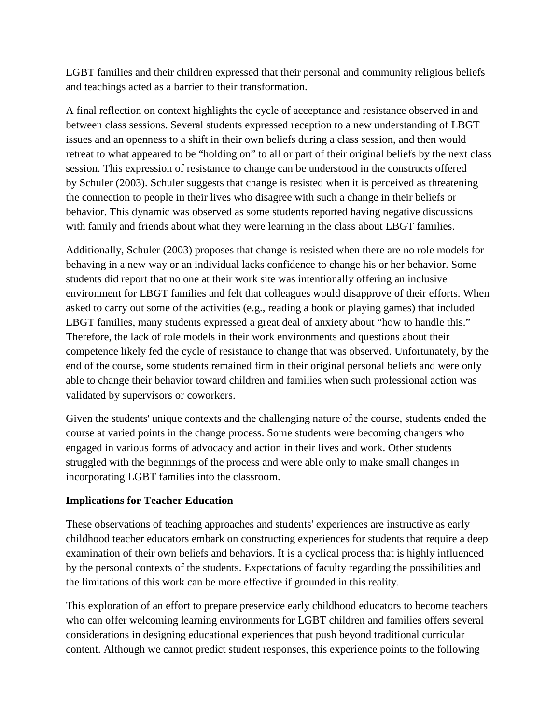LGBT families and their children expressed that their personal and community religious beliefs and teachings acted as a barrier to their transformation.

A final reflection on context highlights the cycle of acceptance and resistance observed in and between class sessions. Several students expressed reception to a new understanding of LBGT issues and an openness to a shift in their own beliefs during a class session, and then would retreat to what appeared to be "holding on" to all or part of their original beliefs by the next class session. This expression of resistance to change can be understood in the constructs offered by Schuler (2003). Schuler suggests that change is resisted when it is perceived as threatening the connection to people in their lives who disagree with such a change in their beliefs or behavior. This dynamic was observed as some students reported having negative discussions with family and friends about what they were learning in the class about LBGT families.

Additionally, Schuler (2003) proposes that change is resisted when there are no role models for behaving in a new way or an individual lacks confidence to change his or her behavior. Some students did report that no one at their work site was intentionally offering an inclusive environment for LBGT families and felt that colleagues would disapprove of their efforts. When asked to carry out some of the activities (e.g., reading a book or playing games) that included LBGT families, many students expressed a great deal of anxiety about "how to handle this." Therefore, the lack of role models in their work environments and questions about their competence likely fed the cycle of resistance to change that was observed. Unfortunately, by the end of the course, some students remained firm in their original personal beliefs and were only able to change their behavior toward children and families when such professional action was validated by supervisors or coworkers.

Given the students' unique contexts and the challenging nature of the course, students ended the course at varied points in the change process. Some students were becoming changers who engaged in various forms of advocacy and action in their lives and work. Other students struggled with the beginnings of the process and were able only to make small changes in incorporating LGBT families into the classroom.

## **Implications for Teacher Education**

These observations of teaching approaches and students' experiences are instructive as early childhood teacher educators embark on constructing experiences for students that require a deep examination of their own beliefs and behaviors. It is a cyclical process that is highly influenced by the personal contexts of the students. Expectations of faculty regarding the possibilities and the limitations of this work can be more effective if grounded in this reality.

This exploration of an effort to prepare preservice early childhood educators to become teachers who can offer welcoming learning environments for LGBT children and families offers several considerations in designing educational experiences that push beyond traditional curricular content. Although we cannot predict student responses, this experience points to the following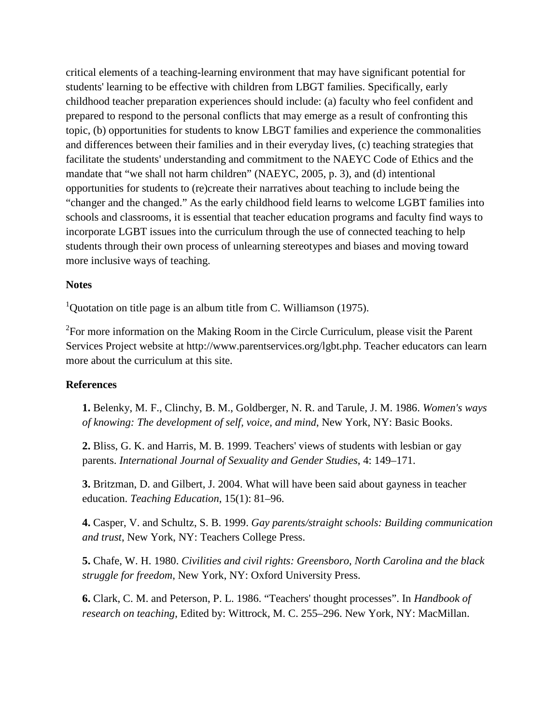critical elements of a teaching-learning environment that may have significant potential for students' learning to be effective with children from LBGT families. Specifically, early childhood teacher preparation experiences should include: (a) faculty who feel confident and prepared to respond to the personal conflicts that may emerge as a result of confronting this topic, (b) opportunities for students to know LBGT families and experience the commonalities and differences between their families and in their everyday lives, (c) teaching strategies that facilitate the students' understanding and commitment to the NAEYC Code of Ethics and the mandate that "we shall not harm children" (NAEYC, 2005, p. 3), and (d) intentional opportunities for students to (re)create their narratives about teaching to include being the "changer and the changed." As the early childhood field learns to welcome LGBT families into schools and classrooms, it is essential that teacher education programs and faculty find ways to incorporate LGBT issues into the curriculum through the use of connected teaching to help students through their own process of unlearning stereotypes and biases and moving toward more inclusive ways of teaching.

#### **Notes**

<sup>1</sup>Quotation on title page is an album title from C. Williamson (1975).

 $2^2$ For more information on the Making Room in the Circle Curriculum, please visit the Parent Services Project website at http://www.parentservices.org/lgbt.php. Teacher educators can learn more about the curriculum at this site.

#### **References**

**1.** Belenky, M. F., Clinchy, B. M., Goldberger, N. R. and Tarule, J. M. 1986. *Women's ways of knowing: The development of self, voice, and mind*, New York, NY: Basic Books.

**2.** Bliss, G. K. and Harris, M. B. 1999. Teachers' views of students with lesbian or gay parents. *International Journal of Sexuality and Gender Studies*, 4: 149–171.

**3.** Britzman, D. and Gilbert, J. 2004. What will have been said about gayness in teacher education. *Teaching Education*, 15(1): 81–96.

**4.** Casper, V. and Schultz, S. B. 1999. *Gay parents/straight schools: Building communication and trust*, New York, NY: Teachers College Press.

**5.** Chafe, W. H. 1980. *Civilities and civil rights: Greensboro, North Carolina and the black struggle for freedom*, New York, NY: Oxford University Press.

**6.** Clark, C. M. and Peterson, P. L. 1986. "Teachers' thought processes". In *Handbook of research on teaching*, Edited by: Wittrock, M. C. 255–296. New York, NY: MacMillan.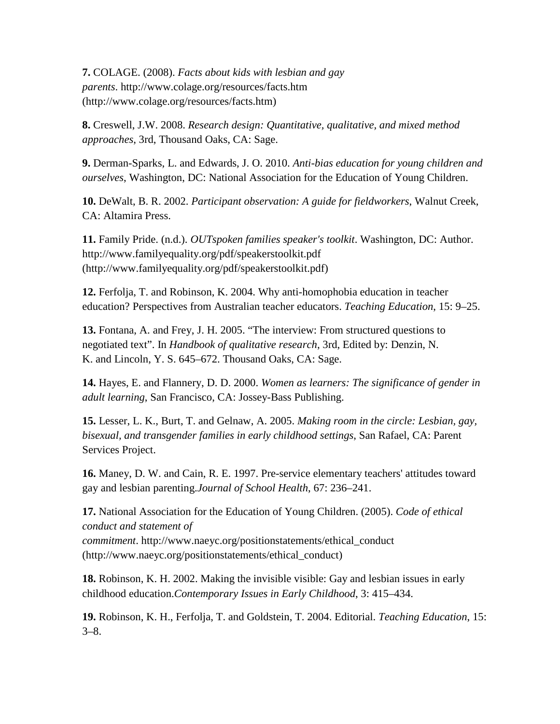**7.** COLAGE. (2008). *Facts about kids with lesbian and gay parents*. http://www.colage.org/resources/facts.htm (http://www.colage.org/resources/facts.htm)

**8.** Creswell, J.W. 2008. *Research design: Quantitative, qualitative, and mixed method approaches*, 3rd, Thousand Oaks, CA: Sage.

**9.** Derman-Sparks, L. and Edwards, J. O. 2010. *Anti-bias education for young children and ourselves*, Washington, DC: National Association for the Education of Young Children.

**10.** DeWalt, B. R. 2002. *Participant observation: A guide for fieldworkers*, Walnut Creek, CA: Altamira Press.

**11.** Family Pride. (n.d.). *OUTspoken families speaker's toolkit*. Washington, DC: Author. http://www.familyequality.org/pdf/speakerstoolkit.pdf (http://www.familyequality.org/pdf/speakerstoolkit.pdf)

**12.** Ferfolja, T. and Robinson, K. 2004. Why anti-homophobia education in teacher education? Perspectives from Australian teacher educators. *Teaching Education*, 15: 9–25.

**13.** Fontana, A. and Frey, J. H. 2005. "The interview: From structured questions to negotiated text". In *Handbook of qualitative research*, 3rd, Edited by: Denzin, N. K. and Lincoln, Y. S. 645–672. Thousand Oaks, CA: Sage.

**14.** Hayes, E. and Flannery, D. D. 2000. *Women as learners: The significance of gender in adult learning*, San Francisco, CA: Jossey-Bass Publishing.

**15.** Lesser, L. K., Burt, T. and Gelnaw, A. 2005. *Making room in the circle: Lesbian, gay, bisexual, and transgender families in early childhood settings*, San Rafael, CA: Parent Services Project.

**16.** Maney, D. W. and Cain, R. E. 1997. Pre-service elementary teachers' attitudes toward gay and lesbian parenting.*Journal of School Health*, 67: 236–241.

**17.** National Association for the Education of Young Children. (2005). *Code of ethical conduct and statement of commitment*. http://www.naeyc.org/positionstatements/ethical\_conduct (http://www.naeyc.org/positionstatements/ethical\_conduct)

**18.** Robinson, K. H. 2002. Making the invisible visible: Gay and lesbian issues in early childhood education.*Contemporary Issues in Early Childhood*, 3: 415–434.

**19.** Robinson, K. H., Ferfolja, T. and Goldstein, T. 2004. Editorial. *Teaching Education*, 15: 3–8.